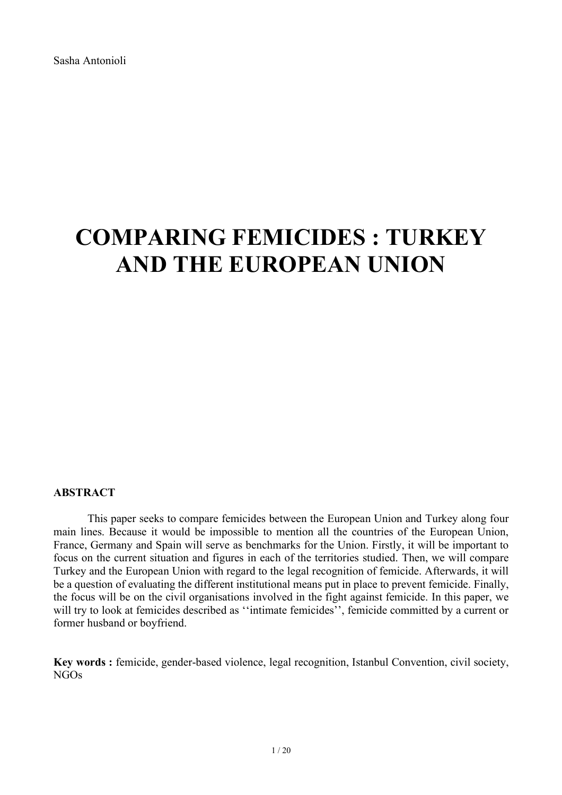Sasha Antonioli

# **COMPARING FEMICIDES : TURKEY AND THE EUROPEAN UNION**

# **ABSTRACT**

This paper seeks to compare femicides between the European Union and Turkey along four main lines. Because it would be impossible to mention all the countries of the European Union, France, Germany and Spain will serve as benchmarks for the Union. Firstly, it will be important to focus on the current situation and figures in each of the territories studied. Then, we will compare Turkey and the European Union with regard to the legal recognition of femicide. Afterwards, it will be a question of evaluating the different institutional means put in place to prevent femicide. Finally, the focus will be on the civil organisations involved in the fight against femicide. In this paper, we will try to look at femicides described as "intimate femicides", femicide committed by a current or former husband or boyfriend.

**Key words :** femicide, gender-based violence, legal recognition, Istanbul Convention, civil society, NGOs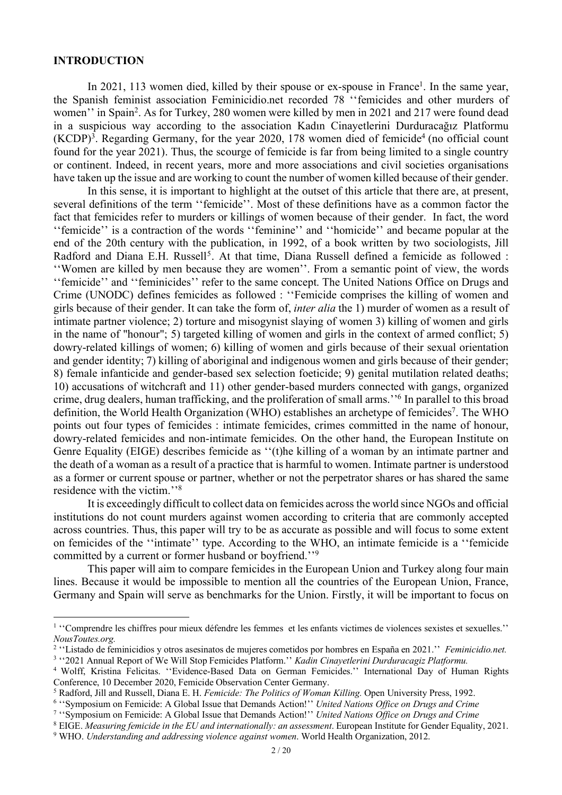#### **INTRODUCTION**

In 2021, 113 women died, killed by their spouse or ex-spouse in France<sup>1</sup>. In the same year, the Spanish feminist association Feminicidio.net recorded 78 ''femicides and other murders of women'' in Spain<sup>2</sup>. As for Turkey, 280 women were killed by men in 2021 and 217 were found dead in a suspicious way according to the association Kadın Cinayetlerini Durduracağız Platformu  $(KCDP)^3$ . Regarding Germany, for the year 2020, 178 women died of femicide<sup>4</sup> (no official count found for the year 2021). Thus, the scourge of femicide is far from being limited to a single country or continent. Indeed, in recent years, more and more associations and civil societies organisations have taken up the issue and are working to count the number of women killed because of their gender.

In this sense, it is important to highlight at the outset of this article that there are, at present. several definitions of the term ''femicide''. Most of these definitions have as a common factor the fact that femicides refer to murders or killings of women because of their gender. In fact, the word ''femicide'' is a contraction of the words ''feminine'' and ''homicide'' and became popular at the end of the 20th century with the publication, in 1992, of a book written by two sociologists, Jill Radford and Diana E.H. Russell<sup>5</sup>. At that time, Diana Russell defined a femicide as followed : ''Women are killed by men because they are women''. From a semantic point of view, the words ''femicide'' and ''feminicides'' refer to the same concept. The United Nations Office on Drugs and Crime (UNODC) defines femicides as followed : ''Femicide comprises the killing of women and girls because of their gender. It can take the form of, *inter alia* the 1) murder of women as a result of intimate partner violence; 2) torture and misogynist slaying of women 3) killing of women and girls in the name of "honour"; 5) targeted killing of women and girls in the context of armed conflict; 5) dowry-related killings of women; 6) killing of women and girls because of their sexual orientation and gender identity; 7) killing of aboriginal and indigenous women and girls because of their gender; 8) female infanticide and gender-based sex selection foeticide; 9) genital mutilation related deaths; 10) accusations of witchcraft and 11) other gender-based murders connected with gangs, organized crime, drug dealers, human trafficking, and the proliferation of small arms.''6 In parallel to this broad definition, the World Health Organization (WHO) establishes an archetype of femicides<sup>7</sup>. The WHO points out four types of femicides : intimate femicides, crimes committed in the name of honour, dowry-related femicides and non-intimate femicides. On the other hand, the European Institute on Genre Equality (EIGE) describes femicide as ''(t)he killing of a woman by an intimate partner and the death of a woman as a result of a practice that is harmful to women. Intimate partner is understood as a former or current spouse or partner, whether or not the perpetrator shares or has shared the same residence with the victim.''8

It is exceedingly difficult to collect data on femicides across the world since NGOs and official institutions do not count murders against women according to criteria that are commonly accepted across countries. Thus, this paper will try to be as accurate as possible and will focus to some extent on femicides of the ''intimate'' type. According to the WHO, an intimate femicide is a ''femicide committed by a current or former husband or boyfriend.''9

This paper will aim to compare femicides in the European Union and Turkey along four main lines. Because it would be impossible to mention all the countries of the European Union, France, Germany and Spain will serve as benchmarks for the Union. Firstly, it will be important to focus on

<sup>&</sup>lt;sup>1</sup> "Comprendre les chiffres pour mieux défendre les femmes et les enfants victimes de violences sexistes et sexuelles." *NousToutes.org.*

<sup>2</sup> ''Listado de feminicidios y otros asesinatos de mujeres cometidos por hombres en España en 2021.'' *Feminicidio.net.* <sup>3</sup> ''2021 Annual Report of We Will Stop Femicides Platform.'' *Kadin Cinayetlerini Durduracagiz Platformu.*

<sup>4</sup> Wolff, Kristina Felicitas. ''Evidence-Based Data on German Femicides.'' International Day of Human Rights Conference, 10 December 2020, Femicide Observation Center Germany.

<sup>5</sup> Radford, Jill and Russell, Diana E. H. *Femicide: The Politics of Woman Killing.* Open University Press, 1992.

<sup>6</sup> ''Symposium on Femicide: A Global Issue that Demands Action!'' *United Nations Office on Drugs and Crime*

<sup>7</sup> ''Symposium on Femicide: A Global Issue that Demands Action!'' *United Nations Office on Drugs and Crime*

<sup>8</sup> EIGE. *Measuring femicide in the EU and internationally: an assessment*. European Institute for Gender Equality, 2021.

<sup>9</sup> WHO. *Understanding and addressing violence against women*. World Health Organization, 2012.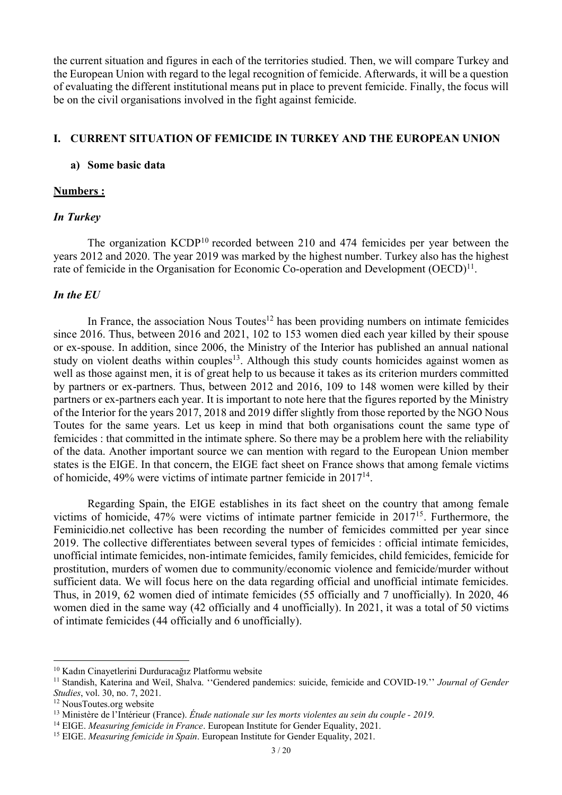the current situation and figures in each of the territories studied. Then, we will compare Turkey and the European Union with regard to the legal recognition of femicide. Afterwards, it will be a question of evaluating the different institutional means put in place to prevent femicide. Finally, the focus will be on the civil organisations involved in the fight against femicide.

## **I. CURRENT SITUATION OF FEMICIDE IN TURKEY AND THE EUROPEAN UNION**

## **a) Some basic data**

## **Numbers :**

## *In Turkey*

The organization KCDP<sup>10</sup> recorded between 210 and 474 femicides per year between the years 2012 and 2020. The year 2019 was marked by the highest number. Turkey also has the highest rate of femicide in the Organisation for Economic Co-operation and Development (OECD)<sup>11</sup>.

## *In the EU*

In France, the association Nous Toutes $12$  has been providing numbers on intimate femicides since 2016. Thus, between 2016 and 2021, 102 to 153 women died each year killed by their spouse or ex-spouse. In addition, since 2006, the Ministry of the Interior has published an annual national study on violent deaths within couples<sup>13</sup>. Although this study counts homicides against women as well as those against men, it is of great help to us because it takes as its criterion murders committed by partners or ex-partners. Thus, between 2012 and 2016, 109 to 148 women were killed by their partners or ex-partners each year. It is important to note here that the figures reported by the Ministry of the Interior for the years 2017, 2018 and 2019 differ slightly from those reported by the NGO Nous Toutes for the same years. Let us keep in mind that both organisations count the same type of femicides : that committed in the intimate sphere. So there may be a problem here with the reliability of the data. Another important source we can mention with regard to the European Union member states is the EIGE. In that concern, the EIGE fact sheet on France shows that among female victims of homicide, 49% were victims of intimate partner femicide in 201714.

Regarding Spain, the EIGE establishes in its fact sheet on the country that among female victims of homicide, 47% were victims of intimate partner femicide in 201715. Furthermore, the Feminicidio.net collective has been recording the number of femicides committed per year since 2019. The collective differentiates between several types of femicides : official intimate femicides, unofficial intimate femicides, non-intimate femicides, family femicides, child femicides, femicide for prostitution, murders of women due to community/economic violence and femicide/murder without sufficient data. We will focus here on the data regarding official and unofficial intimate femicides. Thus, in 2019, 62 women died of intimate femicides (55 officially and 7 unofficially). In 2020, 46 women died in the same way (42 officially and 4 unofficially). In 2021, it was a total of 50 victims of intimate femicides (44 officially and 6 unofficially).

<sup>10</sup> Kadın Cinayetlerini Durduracağız Platformu website

<sup>11</sup> Standish, Katerina and Weil, Shalva. ''Gendered pandemics: suicide, femicide and COVID-19.'' *Journal of Gender Studies*, vol. 30, no. 7, 2021.

<sup>&</sup>lt;sup>12</sup> NousToutes.org website

<sup>13</sup> Ministère de l'Intérieur (France). *Étude nationale sur les morts violentes au sein du couple - 2019*.

<sup>14</sup> EIGE. *Measuring femicide in France*. European Institute for Gender Equality, 2021.

<sup>15</sup> EIGE. *Measuring femicide in Spain*. European Institute for Gender Equality, 2021.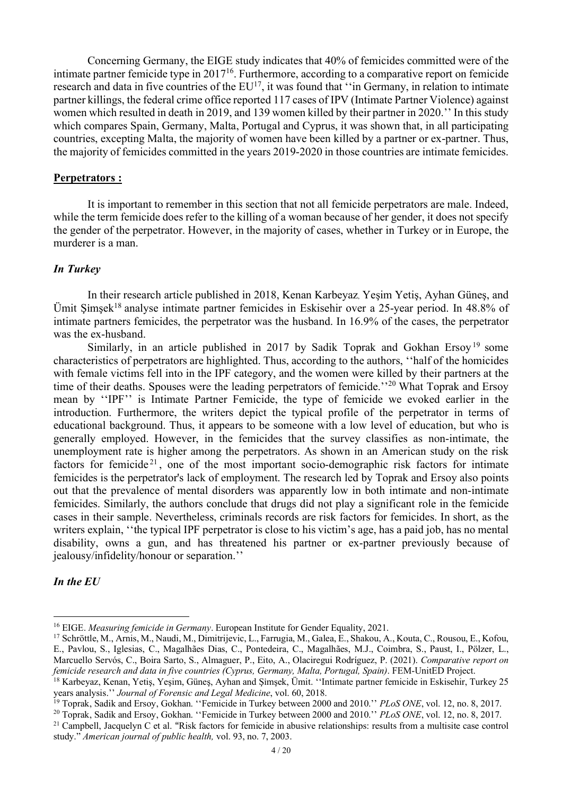Concerning Germany, the EIGE study indicates that 40% of femicides committed were of the intimate partner femicide type in 201716. Furthermore, according to a comparative report on femicide research and data in five countries of the EU<sup>17</sup>, it was found that "in Germany, in relation to intimate partner killings, the federal crime office reported 117 cases of IPV (Intimate Partner Violence) against women which resulted in death in 2019, and 139 women killed by their partner in 2020.'' In this study which compares Spain, Germany, Malta, Portugal and Cyprus, it was shown that, in all participating countries, excepting Malta, the majority of women have been killed by a partner or ex-partner. Thus, the majority of femicides committed in the years 2019-2020 in those countries are intimate femicides.

## **Perpetrators :**

It is important to remember in this section that not all femicide perpetrators are male. Indeed, while the term femicide does refer to the killing of a woman because of her gender, it does not specify the gender of the perpetrator. However, in the majority of cases, whether in Turkey or in Europe, the murderer is a man.

# *In Turkey*

In their research article published in 2018, Kenan Karbeyaz, Yeşim Yetiş, Ayhan Güneş, and Ümit Şı̇mşek18 analyse intimate partner femicides in Eskisehir over a 25-year period. In 48.8% of intimate partners femicides, the perpetrator was the husband. In 16.9% of the cases, the perpetrator was the ex-husband.

Similarly, in an article published in 2017 by Sadik Toprak and Gokhan Ersoy<sup>19</sup> some characteristics of perpetrators are highlighted. Thus, according to the authors, ''half of the homicides with female victims fell into in the IPF category, and the women were killed by their partners at the time of their deaths. Spouses were the leading perpetrators of femicide.''<sup>20</sup> What Toprak and Ersoy mean by ''IPF'' is Intimate Partner Femicide, the type of femicide we evoked earlier in the introduction. Furthermore, the writers depict the typical profile of the perpetrator in terms of educational background. Thus, it appears to be someone with a low level of education, but who is generally employed. However, in the femicides that the survey classifies as non-intimate, the unemployment rate is higher among the perpetrators. As shown in an American study on the risk factors for femicide<sup>21</sup>, one of the most important socio-demographic risk factors for intimate femicides is the perpetrator's lack of employment. The research led by Toprak and Ersoy also points out that the prevalence of mental disorders was apparently low in both intimate and non-intimate femicides. Similarly, the authors conclude that drugs did not play a significant role in the femicide cases in their sample. Nevertheless, criminals records are risk factors for femicides. In short, as the writers explain, ''the typical IPF perpetrator is close to his victim's age, has a paid job, has no mental disability, owns a gun, and has threatened his partner or ex-partner previously because of jealousy/infidelity/honour or separation.''

# *In the EU*

<sup>16</sup> EIGE. *Measuring femicide in Germany*. European Institute for Gender Equality, 2021.

<sup>17</sup> Schröttle, M., Arnis, M., Naudi, M., Dimitrijevic, L., Farrugia, M., Galea, E., Shakou, A., Kouta, C., Rousou, E., Kofou, E., Pavlou, S., Iglesias, C., Magalhães Dias, C., Pontedeira, C., Magalhães, M.J., Coimbra, S., Paust, I., Pölzer, L., Marcuello Servós, C., Boira Sarto, S., Almaguer, P., Eito, A., Olaciregui Rodríguez, P. (2021). *Comparative report on femicide research and data in five countries (Cyprus, Germany, Malta, Portugal, Spain)*. FEM-UnitED Project.

<sup>18</sup> Karbeyaz, Kenan, Yetiş, Yeşim, Güneş, Ayhan and Şı̇mşek, Ümit. ''Intimate partner femicide in Eskisehir, Turkey 25 years analysis.'' *Journal of Forensic and Legal Medicine*, vol. 60, 2018.

<sup>19</sup> Toprak, Sadik and Ersoy, Gokhan. ''Femicide in Turkey between 2000 and 2010.'' *PLoS ONE*, vol. 12, no. 8, 2017.

<sup>20</sup> Toprak, Sadik and Ersoy, Gokhan. ''Femicide in Turkey between 2000 and 2010.'' *PLoS ONE*, vol. 12, no. 8, 2017.

<sup>&</sup>lt;sup>21</sup> Campbell, Jacquelyn C et al. "Risk factors for femicide in abusive relationships: results from a multisite case control study." *American journal of public health,* vol. 93, no. 7, 2003.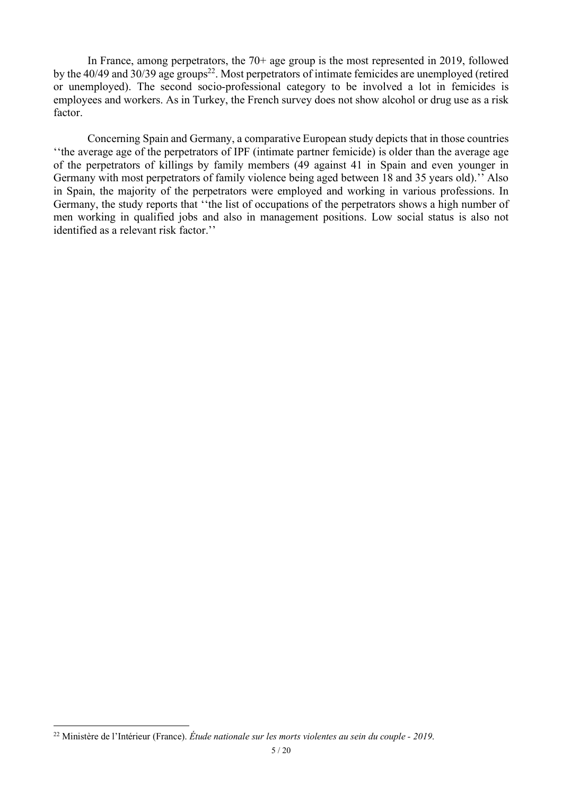In France, among perpetrators, the 70+ age group is the most represented in 2019, followed by the 40/49 and 30/39 age groups<sup>22</sup>. Most perpetrators of intimate femicides are unemployed (retired or unemployed). The second socio-professional category to be involved a lot in femicides is employees and workers. As in Turkey, the French survey does not show alcohol or drug use as a risk factor.

Concerning Spain and Germany, a comparative European study depicts that in those countries ''the average age of the perpetrators of IPF (intimate partner femicide) is older than the average age of the perpetrators of killings by family members (49 against 41 in Spain and even younger in Germany with most perpetrators of family violence being aged between 18 and 35 years old).'' Also in Spain, the majority of the perpetrators were employed and working in various professions. In Germany, the study reports that ''the list of occupations of the perpetrators shows a high number of men working in qualified jobs and also in management positions. Low social status is also not identified as a relevant risk factor.''

<sup>22</sup> Ministère de l'Intérieur (France). *Étude nationale sur les morts violentes au sein du couple - 2019*.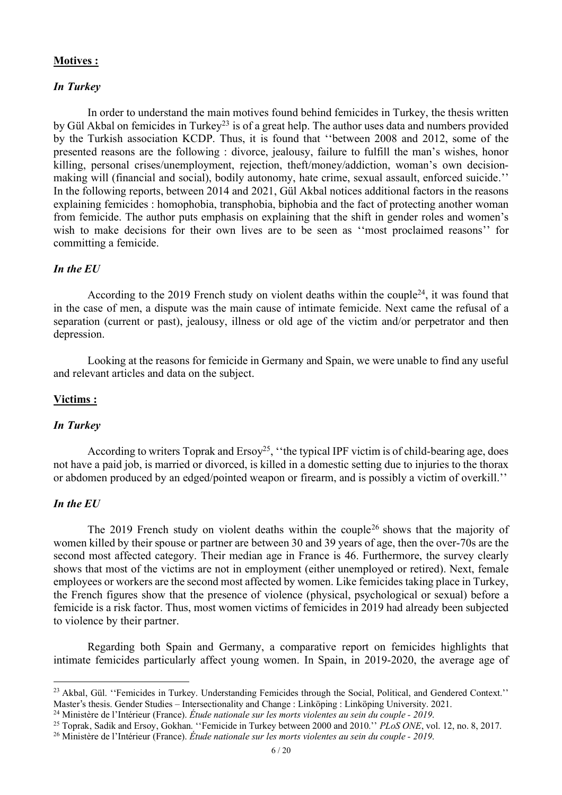## **Motives :**

## *In Turkey*

In order to understand the main motives found behind femicides in Turkey, the thesis written by Gül Akbal on femicides in Turkey<sup>23</sup> is of a great help. The author uses data and numbers provided by the Turkish association KCDP. Thus, it is found that ''between 2008 and 2012, some of the presented reasons are the following : divorce, jealousy, failure to fulfill the man's wishes, honor killing, personal crises/unemployment, rejection, theft/money/addiction, woman's own decisionmaking will (financial and social), bodily autonomy, hate crime, sexual assault, enforced suicide.'' In the following reports, between 2014 and 2021, Gül Akbal notices additional factors in the reasons explaining femicides : homophobia, transphobia, biphobia and the fact of protecting another woman from femicide. The author puts emphasis on explaining that the shift in gender roles and women's wish to make decisions for their own lives are to be seen as ''most proclaimed reasons'' for committing a femicide.

# *In the EU*

According to the 2019 French study on violent deaths within the couple<sup>24</sup>, it was found that in the case of men, a dispute was the main cause of intimate femicide. Next came the refusal of a separation (current or past), jealousy, illness or old age of the victim and/or perpetrator and then depression.

Looking at the reasons for femicide in Germany and Spain, we were unable to find any useful and relevant articles and data on the subject.

## **Victims :**

## *In Turkey*

According to writers Toprak and  $Ersy^{25}$ , "the typical IPF victim is of child-bearing age, does not have a paid job, is married or divorced, is killed in a domestic setting due to injuries to the thorax or abdomen produced by an edged/pointed weapon or firearm, and is possibly a victim of overkill.''

# *In the EU*

The 2019 French study on violent deaths within the couple<sup>26</sup> shows that the majority of women killed by their spouse or partner are between 30 and 39 years of age, then the over-70s are the second most affected category. Their median age in France is 46. Furthermore, the survey clearly shows that most of the victims are not in employment (either unemployed or retired). Next, female employees or workers are the second most affected by women. Like femicides taking place in Turkey, the French figures show that the presence of violence (physical, psychological or sexual) before a femicide is a risk factor. Thus, most women victims of femicides in 2019 had already been subjected to violence by their partner.

Regarding both Spain and Germany, a comparative report on femicides highlights that intimate femicides particularly affect young women. In Spain, in 2019-2020, the average age of

<sup>&</sup>lt;sup>23</sup> Akbal, Gül. "Femicides in Turkey. Understanding Femicides through the Social, Political, and Gendered Context." Master's thesis. Gender Studies – Intersectionality and Change : Linköping : Linköping University. 2021.

<sup>24</sup> Ministère de l'Intérieur (France). *Étude nationale sur les morts violentes au sein du couple - 2019*.

<sup>25</sup> Toprak, Sadik and Ersoy, Gokhan. ''Femicide in Turkey between 2000 and 2010.'' *PLoS ONE*, vol. 12, no. 8, 2017.

<sup>26</sup> Ministère de l'Intérieur (France). *Étude nationale sur les morts violentes au sein du couple - 2019*.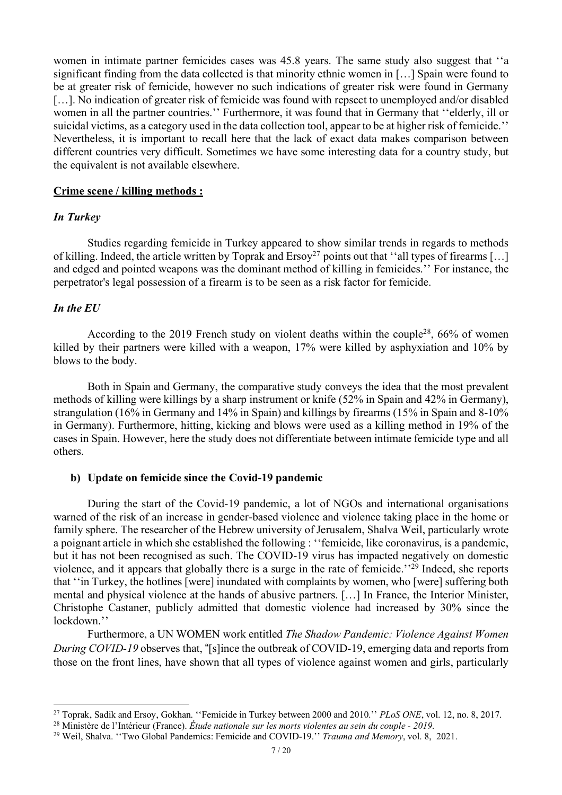women in intimate partner femicides cases was 45.8 years. The same study also suggest that ''a significant finding from the data collected is that minority ethnic women in […] Spain were found to be at greater risk of femicide, however no such indications of greater risk were found in Germany [...]. No indication of greater risk of femicide was found with repsect to unemployed and/or disabled women in all the partner countries.'' Furthermore, it was found that in Germany that ''elderly, ill or suicidal victims, as a category used in the data collection tool, appear to be at higher risk of femicide.'' Nevertheless, it is important to recall here that the lack of exact data makes comparison between different countries very difficult. Sometimes we have some interesting data for a country study, but the equivalent is not available elsewhere.

#### **Crime scene / killing methods :**

## *In Turkey*

Studies regarding femicide in Turkey appeared to show similar trends in regards to methods of killing. Indeed, the article written by Toprak and Ersoy<sup>27</sup> points out that "all types of firearms [...] and edged and pointed weapons was the dominant method of killing in femicides.'' For instance, the perpetrator's legal possession of a firearm is to be seen as a risk factor for femicide.

# *In the EU*

According to the 2019 French study on violent deaths within the couple<sup>28</sup>,  $66\%$  of women killed by their partners were killed with a weapon, 17% were killed by asphyxiation and 10% by blows to the body.

Both in Spain and Germany, the comparative study conveys the idea that the most prevalent methods of killing were killings by a sharp instrument or knife (52% in Spain and 42% in Germany), strangulation (16% in Germany and 14% in Spain) and killings by firearms (15% in Spain and 8-10% in Germany). Furthermore, hitting, kicking and blows were used as a killing method in 19% of the cases in Spain. However, here the study does not differentiate between intimate femicide type and all others.

#### **b) Update on femicide since the Covid-19 pandemic**

During the start of the Covid-19 pandemic, a lot of NGOs and international organisations warned of the risk of an increase in gender-based violence and violence taking place in the home or family sphere. The researcher of the Hebrew university of Jerusalem, Shalva Weil, particularly wrote a poignant article in which she established the following : ''femicide, like coronavirus, is a pandemic, but it has not been recognised as such. The COVID-19 virus has impacted negatively on domestic violence, and it appears that globally there is a surge in the rate of femicide.''29 Indeed, she reports that ''in Turkey, the hotlines [were] inundated with complaints by women, who [were] suffering both mental and physical violence at the hands of abusive partners. […] In France, the Interior Minister, Christophe Castaner, publicly admitted that domestic violence had increased by 30% since the lockdown.''

Furthermore, a UN WOMEN work entitled *The Shadow Pandemic: Violence Against Women During COVID-19* observes that, "[s]ince the outbreak of COVID-19, emerging data and reports from those on the front lines, have shown that all types of violence against women and girls, particularly

<sup>27</sup> Toprak, Sadik and Ersoy, Gokhan. ''Femicide in Turkey between 2000 and 2010.'' *PLoS ONE*, vol. 12, no. 8, 2017.

<sup>28</sup> Ministère de l'Intérieur (France). *Étude nationale sur les morts violentes au sein du couple - 2019*.

<sup>29</sup> Weil, Shalva. ''Two Global Pandemics: Femicide and COVID-19.'' *Trauma and Memory*, vol. 8, 2021.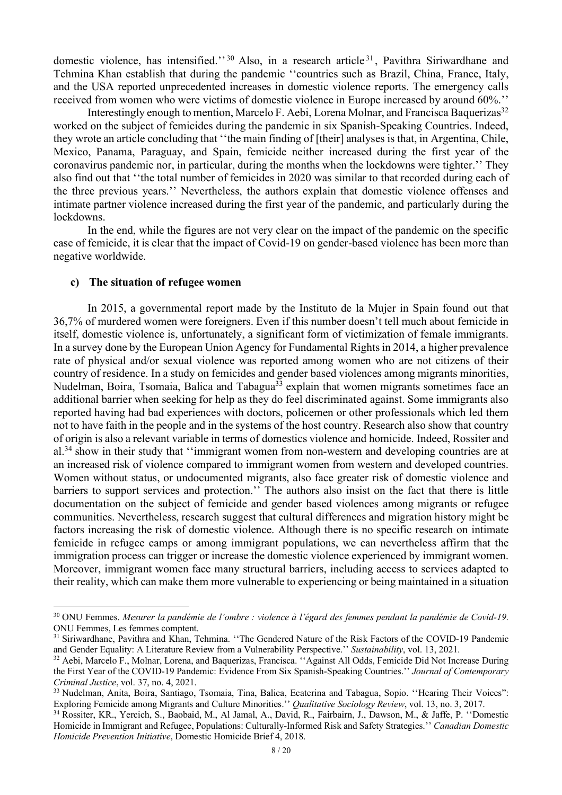domestic violence, has intensified."<sup>30</sup> Also, in a research article<sup>31</sup>, Pavithra Siriwardhane and Tehmina Khan establish that during the pandemic ''countries such as Brazil, China, France, Italy, and the USA reported unprecedented increases in domestic violence reports. The emergency calls received from women who were victims of domestic violence in Europe increased by around 60%.''

Interestingly enough to mention, Marcelo F. Aebi, Lorena Molnar, and Francisca Baquerizas<sup>32</sup> worked on the subject of femicides during the pandemic in six Spanish-Speaking Countries. Indeed, they wrote an article concluding that ''the main finding of [their] analyses is that, in Argentina, Chile, Mexico, Panama, Paraguay, and Spain, femicide neither increased during the first year of the coronavirus pandemic nor, in particular, during the months when the lockdowns were tighter.'' They also find out that ''the total number of femicides in 2020 was similar to that recorded during each of the three previous years.'' Nevertheless, the authors explain that domestic violence offenses and intimate partner violence increased during the first year of the pandemic, and particularly during the lockdowns.

In the end, while the figures are not very clear on the impact of the pandemic on the specific case of femicide, it is clear that the impact of Covid-19 on gender-based violence has been more than negative worldwide.

#### **c) The situation of refugee women**

In 2015, a governmental report made by the Instituto de la Mujer in Spain found out that 36,7% of murdered women were foreigners. Even if this number doesn't tell much about femicide in itself, domestic violence is, unfortunately, a significant form of victimization of female immigrants. In a survey done by the European Union Agency for Fundamental Rightsin 2014, a higher prevalence rate of physical and/or sexual violence was reported among women who are not citizens of their country of residence. In a study on femicides and gender based violences among migrants minorities, Nudelman, Boira, Tsomaia, Balica and Tabagua<sup>33</sup> explain that women migrants sometimes face an additional barrier when seeking for help as they do feel discriminated against. Some immigrants also reported having had bad experiences with doctors, policemen or other professionals which led them not to have faith in the people and in the systems of the host country. Research also show that country of origin is also a relevant variable in terms of domestics violence and homicide. Indeed, Rossiter and al.<sup>34</sup> show in their study that "immigrant women from non-western and developing countries are at an increased risk of violence compared to immigrant women from western and developed countries. Women without status, or undocumented migrants, also face greater risk of domestic violence and barriers to support services and protection.'' The authors also insist on the fact that there is little documentation on the subject of femicide and gender based violences among migrants or refugee communities. Nevertheless, research suggest that cultural differences and migration history might be factors increasing the risk of domestic violence. Although there is no specific research on intimate femicide in refugee camps or among immigrant populations, we can nevertheless affirm that the immigration process can trigger or increase the domestic violence experienced by immigrant women. Moreover, immigrant women face many structural barriers, including access to services adapted to their reality, which can make them more vulnerable to experiencing or being maintained in a situation

<sup>30</sup> ONU Femmes. *Mesurer la pandémie de l'ombre : violence à l'égard des femmes pendant la pandémie de Covid-19*. ONU Femmes, Les femmes comptent.

<sup>&</sup>lt;sup>31</sup> Siriwardhane, Pavithra and Khan, Tehmina. "The Gendered Nature of the Risk Factors of the COVID-19 Pandemic and Gender Equality: A Literature Review from a Vulnerability Perspective.'' *Sustainability*, vol. 13, 2021.

<sup>&</sup>lt;sup>32</sup> Aebi, Marcelo F., Molnar, Lorena, and Baquerizas, Francisca. "Against All Odds, Femicide Did Not Increase During the First Year of the COVID-19 Pandemic: Evidence From Six Spanish-Speaking Countries.'' *Journal of Contemporary Criminal Justice*, vol. 37, no. 4, 2021.

<sup>33</sup> Nudelman, Anita, Boira, Santiago, Tsomaia, Tina, Balica, Ecaterina and Tabagua, Sopio. ''Hearing Their Voices": Exploring Femicide among Migrants and Culture Minorities.'' *Qualitative Sociology Review*, vol. 13, no. 3, 2017.

<sup>34</sup> Rossiter, KR., Yercich, S., Baobaid, M., Al Jamal, A., David, R., Fairbairn, J., Dawson, M., & Jaffe, P. ''Domestic Homicide in Immigrant and Refugee, Populations: Culturally-Informed Risk and Safety Strategies.'' *Canadian Domestic Homicide Prevention Initiative*, Domestic Homicide Brief 4, 2018.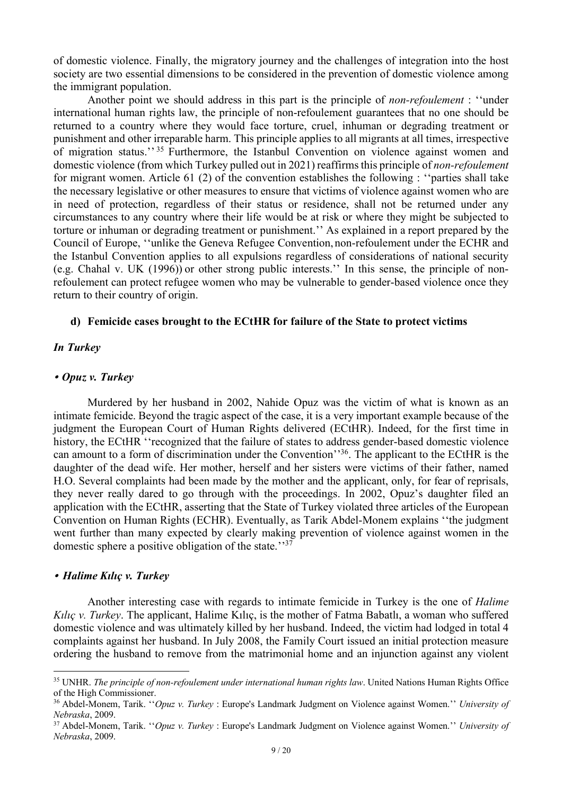of domestic violence. Finally, the migratory journey and the challenges of integration into the host society are two essential dimensions to be considered in the prevention of domestic violence among the immigrant population.

Another point we should address in this part is the principle of *non-refoulement* : ''under international human rights law, the principle of non-refoulement guarantees that no one should be returned to a country where they would face torture, cruel, inhuman or degrading treatment or punishment and other irreparable harm. This principle applies to all migrants at all times, irrespective of migration status.'' <sup>35</sup> Furthermore, the Istanbul Convention on violence against women and domestic violence (from which Turkey pulled out in 2021) reaffirms this principle of *non-refoulement* for migrant women. Article 61 (2) of the convention establishes the following : ''parties shall take the necessary legislative or other measures to ensure that victims of violence against women who are in need of protection, regardless of their status or residence, shall not be returned under any circumstances to any country where their life would be at risk or where they might be subjected to torture or inhuman or degrading treatment or punishment.'' As explained in a report prepared by the Council of Europe, ''unlike the Geneva Refugee Convention, non-refoulement under the ECHR and the Istanbul Convention applies to all expulsions regardless of considerations of national security (e.g. Chahal v. UK (1996)) or other strong public interests.'' In this sense, the principle of nonrefoulement can protect refugee women who may be vulnerable to gender-based violence once they return to their country of origin.

## **d) Femicide cases brought to the ECtHR for failure of the State to protect victims**

## *In Turkey*

#### # *Opuz v. Turkey*

Murdered by her husband in 2002, Nahide Opuz was the victim of what is known as an intimate femicide. Beyond the tragic aspect of the case, it is a very important example because of the judgment the European Court of Human Rights delivered (ECtHR). Indeed, for the first time in history, the ECtHR ''recognized that the failure of states to address gender-based domestic violence can amount to a form of discrimination under the Convention''36. The applicant to the ECtHR is the daughter of the dead wife. Her mother, herself and her sisters were victims of their father, named H.O. Several complaints had been made by the mother and the applicant, only, for fear of reprisals, they never really dared to go through with the proceedings. In 2002, Opuz's daughter filed an application with the ECtHR, asserting that the State of Turkey violated three articles of the European Convention on Human Rights (ECHR). Eventually, as Tarik Abdel-Monem explains ''the judgment went further than many expected by clearly making prevention of violence against women in the domestic sphere a positive obligation of the state.<sup>''37</sup>

#### # *Halime Kılıç v. Turkey*

Another interesting case with regards to intimate femicide in Turkey is the one of *Halime Kılıç v. Turkey*. The applicant, Halime Kılıç, is the mother of Fatma Babatlı, a woman who suffered domestic violence and was ultimately killed by her husband. Indeed, the victim had lodged in total 4 complaints against her husband. In July 2008, the Family Court issued an initial protection measure ordering the husband to remove from the matrimonial home and an injunction against any violent

<sup>35</sup> UNHR. *The principle of non-refoulement under international human rights law*. United Nations Human Rights Office of the High Commissioner.

<sup>36</sup> Abdel-Monem, Tarik. ''*Opuz v. Turkey* : Europe's Landmark Judgment on Violence against Women.'' *University of Nebraska*, 2009.

<sup>37</sup> Abdel-Monem, Tarik. ''*Opuz v. Turkey* : Europe's Landmark Judgment on Violence against Women.'' *University of Nebraska*, 2009.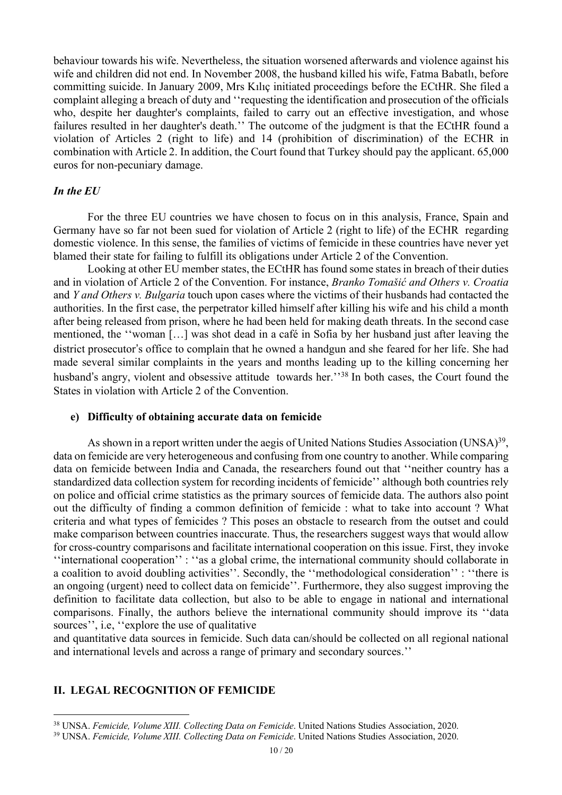behaviour towards his wife. Nevertheless, the situation worsened afterwards and violence against his wife and children did not end. In November 2008, the husband killed his wife, Fatma Babatlı, before committing suicide. In January 2009, Mrs Kılıç initiated proceedings before the ECtHR. She filed a complaint alleging a breach of duty and ''requesting the identification and prosecution of the officials who, despite her daughter's complaints, failed to carry out an effective investigation, and whose failures resulted in her daughter's death.'' The outcome of the judgment is that the ECtHR found a violation of Articles 2 (right to life) and 14 (prohibition of discrimination) of the ECHR in combination with Article 2. In addition, the Court found that Turkey should pay the applicant. 65,000 euros for non-pecuniary damage.

## *In the EU*

For the three EU countries we have chosen to focus on in this analysis, France, Spain and Germany have so far not been sued for violation of Article 2 (right to life) of the ECHR regarding domestic violence. In this sense, the families of victims of femicide in these countries have never yet blamed their state for failing to fulfill its obligations under Article 2 of the Convention.

Looking at other EU member states, the ECtHR has found some states in breach of their duties and in violation of Article 2 of the Convention. For instance, *Branko Tomašić and Others v. Croatia* and *Y and Others v. Bulgaria* touch upon cases where the victims of their husbands had contacted the authorities. In the first case, the perpetrator killed himself after killing his wife and his child a month after being released from prison, where he had been held for making death threats. In the second case mentioned, the ''woman […] was shot dead in a café in Sofia by her husband just after leaving the district prosecutor's office to complain that he owned a handgun and she feared for her life. She had made several similar complaints in the years and months leading up to the killing concerning her husband's angry, violent and obsessive attitude towards her.'<sup>38</sup> In both cases, the Court found the States in violation with Article 2 of the Convention.

## **e) Difficulty of obtaining accurate data on femicide**

As shown in a report written under the aegis of United Nations Studies Association (UNSA)<sup>39</sup>, data on femicide are very heterogeneous and confusing from one country to another. While comparing data on femicide between India and Canada, the researchers found out that ''neither country has a standardized data collection system for recording incidents of femicide'' although both countries rely on police and official crime statistics as the primary sources of femicide data. The authors also point out the difficulty of finding a common definition of femicide : what to take into account ? What criteria and what types of femicides ? This poses an obstacle to research from the outset and could make comparison between countries inaccurate. Thus, the researchers suggest ways that would allow for cross-country comparisons and facilitate international cooperation on this issue. First, they invoke ''international cooperation'' : ''as a global crime, the international community should collaborate in a coalition to avoid doubling activities''. Secondly, the ''methodological consideration'' : ''there is an ongoing (urgent) need to collect data on femicide''. Furthermore, they also suggest improving the definition to facilitate data collection, but also to be able to engage in national and international comparisons. Finally, the authors believe the international community should improve its ''data sources'', i.e, ''explore the use of qualitative

and quantitative data sources in femicide. Such data can/should be collected on all regional national and international levels and across a range of primary and secondary sources.''

# **II. LEGAL RECOGNITION OF FEMICIDE**

<sup>38</sup> UNSA. *Femicide, Volume XIII. Collecting Data on Femicide*. United Nations Studies Association, 2020.

<sup>39</sup> UNSA. *Femicide, Volume XIII. Collecting Data on Femicide*. United Nations Studies Association, 2020.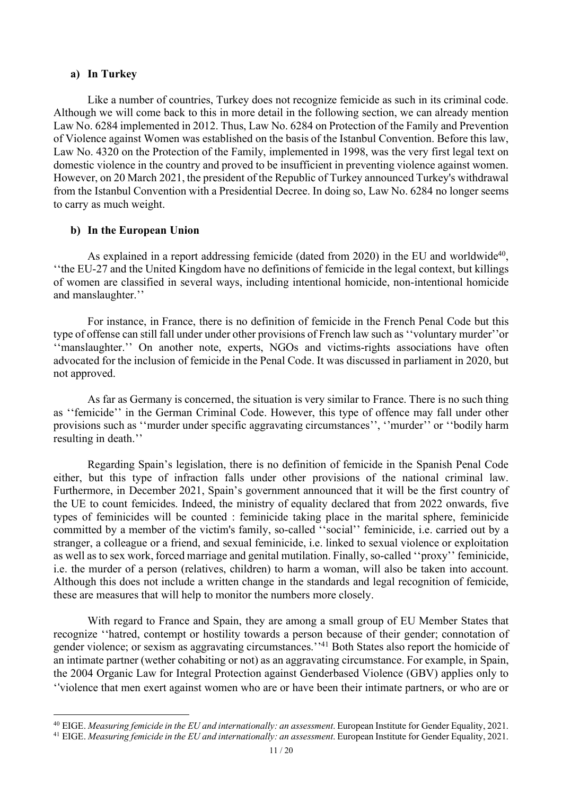#### **a) In Turkey**

Like a number of countries, Turkey does not recognize femicide as such in its criminal code. Although we will come back to this in more detail in the following section, we can already mention Law No. 6284 implemented in 2012. Thus, Law No. 6284 on Protection of the Family and Prevention of Violence against Women was established on the basis of the Istanbul Convention. Before this law, Law No. 4320 on the Protection of the Family, implemented in 1998, was the very first legal text on domestic violence in the country and proved to be insufficient in preventing violence against women. However, on 20 March 2021, the president of the Republic of Turkey announced Turkey's withdrawal from the Istanbul Convention with a Presidential Decree. In doing so, Law No. 6284 no longer seems to carry as much weight.

## **b) In the European Union**

As explained in a report addressing femicide (dated from 2020) in the EU and worldwide<sup>40</sup>, ''the EU-27 and the United Kingdom have no definitions of femicide in the legal context, but killings of women are classified in several ways, including intentional homicide, non-intentional homicide and manslaughter.''

For instance, in France, there is no definition of femicide in the French Penal Code but this type of offense can still fall under under other provisions of French law such as''voluntary murder''or ''manslaughter.'' On another note, experts, NGOs and victims-rights associations have often advocated for the inclusion of femicide in the Penal Code. It was discussed in parliament in 2020, but not approved.

As far as Germany is concerned, the situation is very similar to France. There is no such thing as ''femicide'' in the German Criminal Code. However, this type of offence may fall under other provisions such as ''murder under specific aggravating circumstances'', ''murder'' or ''bodily harm resulting in death.''

Regarding Spain's legislation, there is no definition of femicide in the Spanish Penal Code either, but this type of infraction falls under other provisions of the national criminal law. Furthermore, in December 2021, Spain's government announced that it will be the first country of the UE to count femicides. Indeed, the ministry of equality declared that from 2022 onwards, five types of feminicides will be counted : feminicide taking place in the marital sphere, feminicide committed by a member of the victim's family, so-called ''social'' feminicide, i.e. carried out by a stranger, a colleague or a friend, and sexual feminicide, i.e. linked to sexual violence or exploitation as well as to sex work, forced marriage and genital mutilation. Finally, so-called ''proxy'' feminicide, i.e. the murder of a person (relatives, children) to harm a woman, will also be taken into account. Although this does not include a written change in the standards and legal recognition of femicide, these are measures that will help to monitor the numbers more closely.

With regard to France and Spain, they are among a small group of EU Member States that recognize ''hatred, contempt or hostility towards a person because of their gender; connotation of gender violence; or sexism as aggravating circumstances.''41 Both States also report the homicide of an intimate partner (wether cohabiting or not) as an aggravating circumstance. For example, in Spain, the 2004 Organic Law for Integral Protection against Genderbased Violence (GBV) applies only to '%violence that men exert against women who are or have been their intimate partners, or who are or

<sup>40</sup> EIGE. *Measuring femicide in the EU and internationally: an assessment*. European Institute for Gender Equality, 2021.

<sup>41</sup> EIGE. *Measuring femicide in the EU and internationally: an assessment*. European Institute for Gender Equality, 2021.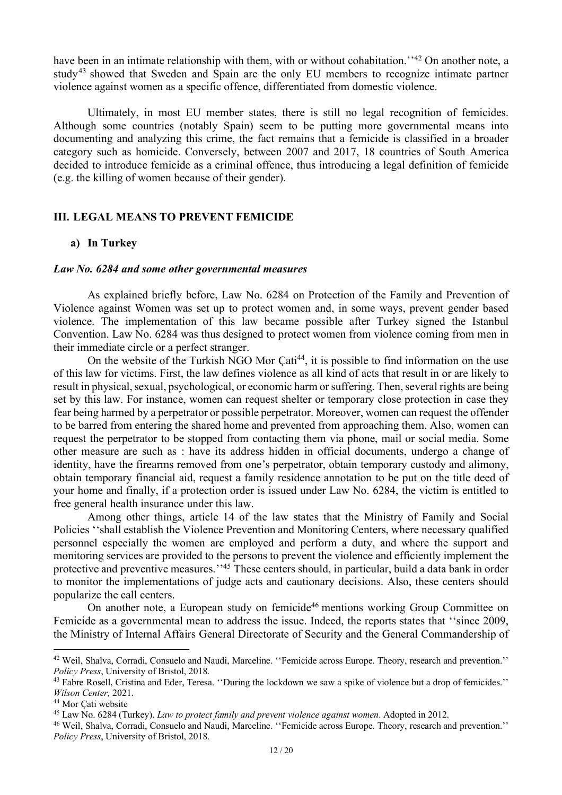have been in an intimate relationship with them, with or without cohabitation.<sup>''42</sup> On another note, a study<sup>43</sup> showed that Sweden and Spain are the only EU members to recognize intimate partner violence against women as a specific offence, differentiated from domestic violence.

Ultimately, in most EU member states, there is still no legal recognition of femicides. Although some countries (notably Spain) seem to be putting more governmental means into documenting and analyzing this crime, the fact remains that a femicide is classified in a broader category such as homicide. Conversely, between 2007 and 2017, 18 countries of South America decided to introduce femicide as a criminal offence, thus introducing a legal definition of femicide (e.g. the killing of women because of their gender).

#### **III. LEGAL MEANS TO PREVENT FEMICIDE**

## **a) In Turkey**

#### *Law No. 6284 and some other governmental measures*

As explained briefly before, Law No. 6284 on Protection of the Family and Prevention of Violence against Women was set up to protect women and, in some ways, prevent gender based violence. The implementation of this law became possible after Turkey signed the Istanbul Convention. Law No. 6284 was thus designed to protect women from violence coming from men in their immediate circle or a perfect stranger.

On the website of the Turkish NGO Mor  $\text{Cat}^{144}$ , it is possible to find information on the use of this law for victims. First, the law defines violence as all kind of acts that result in or are likely to result in physical, sexual, psychological, or economic harm or suffering. Then, several rights are being set by this law. For instance, women can request shelter or temporary close protection in case they fear being harmed by a perpetrator or possible perpetrator. Moreover, women can request the offender to be barred from entering the shared home and prevented from approaching them. Also, women can request the perpetrator to be stopped from contacting them via phone, mail or social media. Some other measure are such as : have its address hidden in official documents, undergo a change of identity, have the firearms removed from one's perpetrator, obtain temporary custody and alimony, obtain temporary financial aid, request a family residence annotation to be put on the title deed of your home and finally, if a protection order is issued under Law No. 6284, the victim is entitled to free general health insurance under this law.

Among other things, article 14 of the law states that the Ministry of Family and Social Policies ''shall establish the Violence Prevention and Monitoring Centers, where necessary qualified personnel especially the women are employed and perform a duty, and where the support and monitoring services are provided to the persons to prevent the violence and efficiently implement the protective and preventive measures.''45 These centers should, in particular, build a data bank in order to monitor the implementations of judge acts and cautionary decisions. Also, these centers should popularize the call centers.

On another note, a European study on femicide<sup>46</sup> mentions working Group Committee on Femicide as a governmental mean to address the issue. Indeed, the reports states that ''since 2009, the Ministry of Internal Affairs General Directorate of Security and the General Commandership of

<sup>42</sup> Weil, Shalva, Corradi, Consuelo and Naudi, Marceline. ''Femicide across Europe. Theory, research and prevention.'' *Policy Press*, University of Bristol, 2018.

<sup>&</sup>lt;sup>43</sup> Fabre Rosell, Cristina and Eder, Teresa. "During the lockdown we saw a spike of violence but a drop of femicides." *Wilson Center,* 2021.

<sup>44</sup> Mor Çati website

<sup>45</sup> Law No. 6284 (Turkey). *Law to protect family and prevent violence against women*. Adopted in 2012.

<sup>46</sup> Weil, Shalva, Corradi, Consuelo and Naudi, Marceline. ''Femicide across Europe. Theory, research and prevention.'' *Policy Press*, University of Bristol, 2018.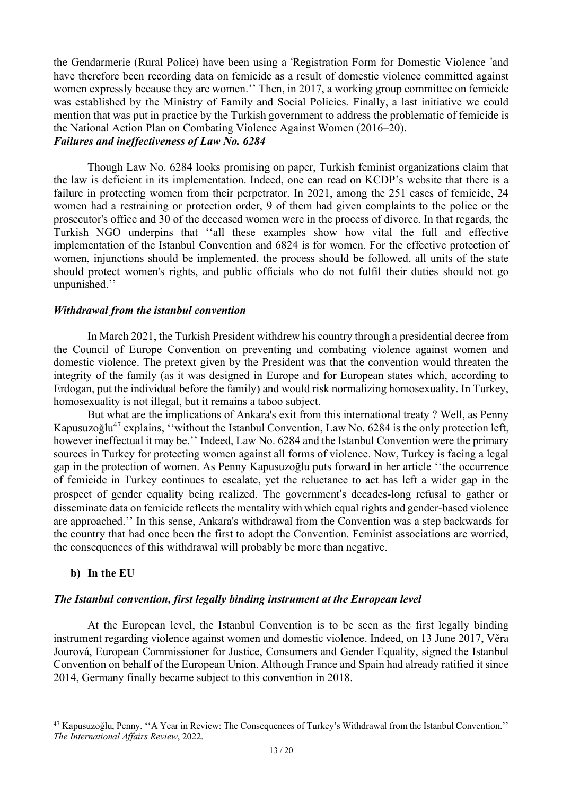the Gendarmerie (Rural Police) have been using a 'Registration Form for Domestic Violence 'and have therefore been recording data on femicide as a result of domestic violence committed against women expressly because they are women.'' Then, in 2017, a working group committee on femicide was established by the Ministry of Family and Social Policies. Finally, a last initiative we could mention that was put in practice by the Turkish government to address the problematic of femicide is the National Action Plan on Combating Violence Against Women (2016–20). *Failures and ineffectiveness of Law No. 6284*

Though Law No. 6284 looks promising on paper, Turkish feminist organizations claim that the law is deficient in its implementation. Indeed, one can read on KCDP's website that there is a failure in protecting women from their perpetrator. In 2021, among the 251 cases of femicide, 24 women had a restraining or protection order, 9 of them had given complaints to the police or the prosecutor's office and 30 of the deceased women were in the process of divorce. In that regards, the Turkish NGO underpins that ''all these examples show how vital the full and effective implementation of the Istanbul Convention and 6824 is for women. For the effective protection of women, injunctions should be implemented, the process should be followed, all units of the state should protect women's rights, and public officials who do not fulfil their duties should not go unpunished.''

# *Withdrawal from the istanbul convention*

In March 2021, the Turkish President withdrew his country through a presidential decree from the Council of Europe Convention on preventing and combating violence against women and domestic violence. The pretext given by the President was that the convention would threaten the integrity of the family (as it was designed in Europe and for European states which, according to Erdogan, put the individual before the family) and would risk normalizing homosexuality. In Turkey, homosexuality is not illegal, but it remains a taboo subject.

But what are the implications of Ankara's exit from this international treaty ? Well, as Penny Kapusuzoğlu<sup>47</sup> explains, "without the Istanbul Convention, Law No. 6284 is the only protection left, however ineffectual it may be.'' Indeed, Law No. 6284 and the Istanbul Convention were the primary sources in Turkey for protecting women against all forms of violence. Now, Turkey is facing a legal gap in the protection of women. As Penny Kapusuzoğlu puts forward in her article ''the occurrence of femicide in Turkey continues to escalate, yet the reluctance to act has left a wider gap in the prospect of gender equality being realized. The government's decades-long refusal to gather or disseminate data on femicide reflects the mentality with which equal rights and gender-based violence are approached.'' In this sense, Ankara's withdrawal from the Convention was a step backwards for the country that had once been the first to adopt the Convention. Feminist associations are worried, the consequences of this withdrawal will probably be more than negative.

# **b) In the EU**

## *The Istanbul convention, first legally binding instrument at the European level*

At the European level, the Istanbul Convention is to be seen as the first legally binding instrument regarding violence against women and domestic violence. Indeed, on 13 June 2017, Věra Jourová, European Commissioner for Justice, Consumers and Gender Equality, signed the Istanbul Convention on behalf of the European Union. Although France and Spain had already ratified it since 2014, Germany finally became subject to this convention in 2018.

<sup>47</sup> Kapusuzoğlu, Penny. ''A Year in Review: The Consequences of Turkey's Withdrawal from the Istanbul Convention.'' *The International Affairs Review*, 2022.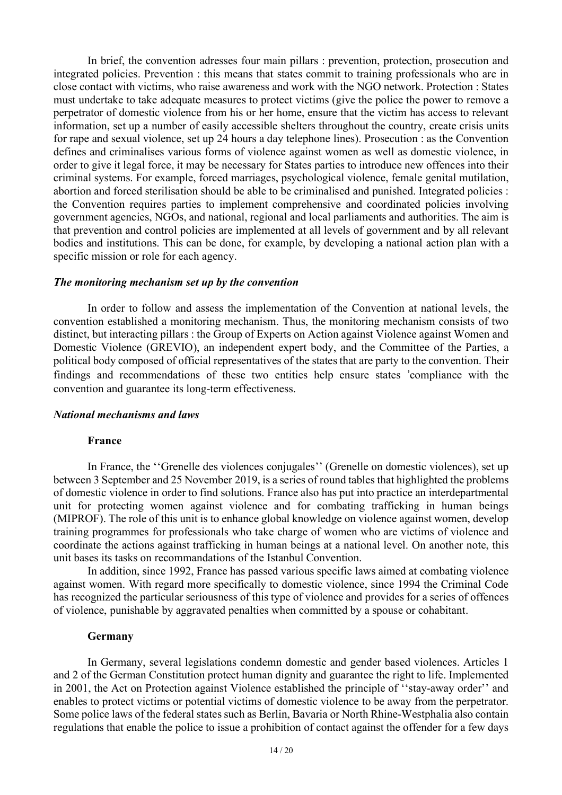In brief, the convention adresses four main pillars : prevention, protection, prosecution and integrated policies. Prevention : this means that states commit to training professionals who are in close contact with victims, who raise awareness and work with the NGO network. Protection : States must undertake to take adequate measures to protect victims (give the police the power to remove a perpetrator of domestic violence from his or her home, ensure that the victim has access to relevant information, set up a number of easily accessible shelters throughout the country, create crisis units for rape and sexual violence, set up 24 hours a day telephone lines). Prosecution : as the Convention defines and criminalises various forms of violence against women as well as domestic violence, in order to give it legal force, it may be necessary for States parties to introduce new offences into their criminal systems. For example, forced marriages, psychological violence, female genital mutilation, abortion and forced sterilisation should be able to be criminalised and punished. Integrated policies : the Convention requires parties to implement comprehensive and coordinated policies involving government agencies, NGOs, and national, regional and local parliaments and authorities. The aim is that prevention and control policies are implemented at all levels of government and by all relevant bodies and institutions. This can be done, for example, by developing a national action plan with a specific mission or role for each agency.

## *The monitoring mechanism set up by the convention*

In order to follow and assess the implementation of the Convention at national levels, the convention established a monitoring mechanism. Thus, the monitoring mechanism consists of two distinct, but interacting pillars : the Group of Experts on Action against Violence against Women and Domestic Violence (GREVIO), an independent expert body, and the Committee of the Parties, a political body composed of official representatives of the states that are party to the convention. Their findings and recommendations of these two entities help ensure states 'compliance with the convention and guarantee its long-term effectiveness.

#### *National mechanisms and laws*

#### **France**

In France, the ''Grenelle des violences conjugales'' (Grenelle on domestic violences), set up between 3 September and 25 November 2019, is a series of round tables that highlighted the problems of domestic violence in order to find solutions. France also has put into practice an interdepartmental unit for protecting women against violence and for combating trafficking in human beings (MIPROF). The role of this unit is to enhance global knowledge on violence against women, develop training programmes for professionals who take charge of women who are victims of violence and coordinate the actions against trafficking in human beings at a national level. On another note, this unit bases its tasks on recommandations of the Istanbul Convention.

In addition, since 1992, France has passed various specific laws aimed at combating violence against women. With regard more specifically to domestic violence, since 1994 the Criminal Code has recognized the particular seriousness of this type of violence and provides for a series of offences of violence, punishable by aggravated penalties when committed by a spouse or cohabitant.

#### **Germany**

In Germany, several legislations condemn domestic and gender based violences. Articles 1 and 2 of the German Constitution protect human dignity and guarantee the right to life. Implemented in 2001, the Act on Protection against Violence established the principle of ''stay-away order'' and enables to protect victims or potential victims of domestic violence to be away from the perpetrator. Some police laws of the federal states such as Berlin, Bavaria or North Rhine-Westphalia also contain regulations that enable the police to issue a prohibition of contact against the offender for a few days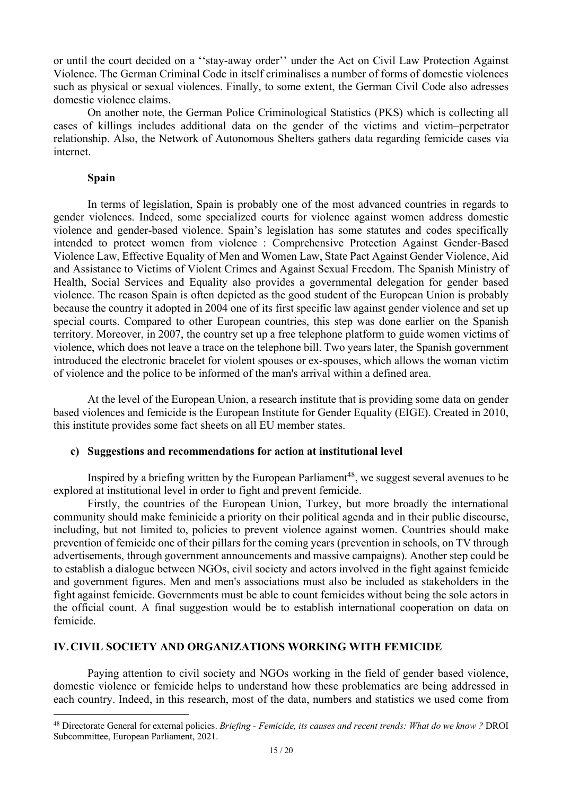or until the court decided on a ''stay-away order'' under the Act on Civil Law Protection Against Violence. The German Criminal Code in itself criminalises a number of forms of domestic violences such as physical or sexual violences. Finally, to some extent, the German Civil Code also adresses domestic violence claims.

On another note, the German Police Criminological Statistics (PKS) which is collecting all cases of killings includes additional data on the gender of the victims and victim–perpetrator relationship. Also, the Network of Autonomous Shelters gathers data regarding femicide cases via internet.

## **Spain**

In terms of legislation, Spain is probably one of the most advanced countries in regards to gender violences. Indeed, some specialized courts for violence against women address domestic violence and gender-based violence. Spain's legislation has some statutes and codes specifically intended to protect women from violence : Comprehensive Protection Against Gender-Based Violence Law, Effective Equality of Men and Women Law, State Pact Against Gender Violence, Aid and Assistance to Victims of Violent Crimes and Against Sexual Freedom. The Spanish Ministry of Health, Social Services and Equality also provides a governmental delegation for gender based violence. The reason Spain is often depicted as the good student of the European Union is probably because the country it adopted in 2004 one of its first specific law against gender violence and set up special courts. Compared to other European countries, this step was done earlier on the Spanish territory. Moreover, in 2007, the country set up a free telephone platform to guide women victims of violence, which does not leave a trace on the telephone bill. Two years later, the Spanish government introduced the electronic bracelet for violent spouses or ex-spouses, which allows the woman victim of violence and the police to be informed of the man's arrival within a defined area.

At the level of the European Union, a research institute that is providing some data on gender based violences and femicide is the European Institute for Gender Equality (EIGE). Created in 2010, this institute provides some fact sheets on all EU member states.

# **c) Suggestions and recommendations for action at institutional level**

Inspired by a briefing written by the European Parliament<sup>48</sup>, we suggest several avenues to be explored at institutional level in order to fight and prevent femicide.

Firstly, the countries of the European Union, Turkey, but more broadly the international community should make feminicide a priority on their political agenda and in their public discourse, including, but not limited to, policies to prevent violence against women. Countries should make prevention of femicide one of their pillars for the coming years (prevention in schools, on TV through advertisements, through government announcements and massive campaigns). Another step could be to establish a dialogue between NGOs, civil society and actors involved in the fight against femicide and government figures. Men and men's associations must also be included as stakeholders in the fight against femicide. Governments must be able to count femicides without being the sole actors in the official count. A final suggestion would be to establish international cooperation on data on femicide.

# **IV.CIVIL SOCIETY AND ORGANIZATIONS WORKING WITH FEMICIDE**

Paying attention to civil society and NGOs working in the field of gender based violence, domestic violence or femicide helps to understand how these problematics are being addressed in each country. Indeed, in this research, most of the data, numbers and statistics we used come from

<sup>48</sup> Directorate General for external policies. *Briefing - Femicide, its causes and recent trends: What do we know ?* DROI Subcommittee, European Parliament, 2021.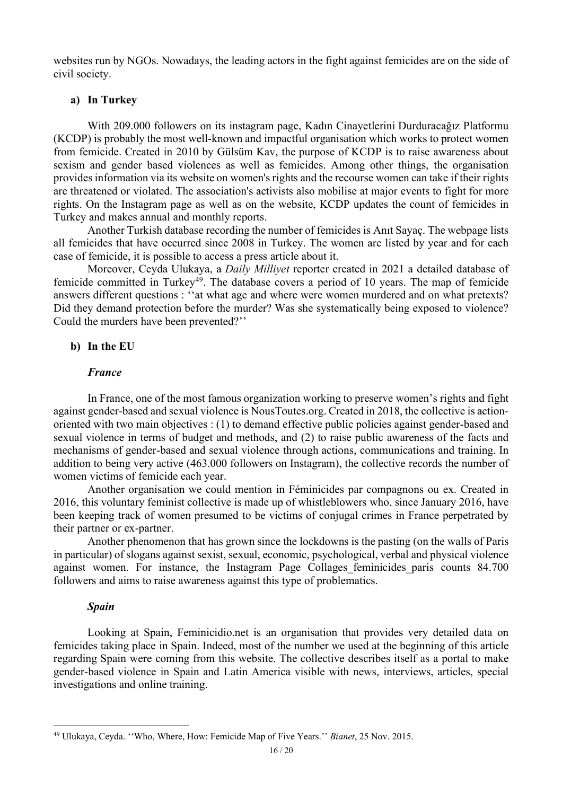websites run by NGOs. Nowadays, the leading actors in the fight against femicides are on the side of civil society.

## **a) In Turkey**

With 209.000 followers on its instagram page, Kadın Cinayetlerini Durduracağız Platformu (KCDP) is probably the most well-known and impactful organisation which works to protect women from femicide. Created in 2010 by Gülsüm Kav, the purpose of KCDP is to raise awareness about sexism and gender based violences as well as femicides. Among other things, the organisation providesinformation via its website on women'srights and the recourse women can take if their rights are threatened or violated. The association's activists also mobilise at major events to fight for more rights. On the Instagram page as well as on the website, KCDP updates the count of femicides in Turkey and makes annual and monthly reports.

Another Turkish database recording the number of femicides is Anıt Sayaç. The webpage lists all femicides that have occurred since 2008 in Turkey. The women are listed by year and for each case of femicide, it is possible to access a press article about it.

Moreover, Ceyda Ulukaya, a *Daily Milliyet* reporter created in 2021 a detailed database of femicide committed in Turkey<sup>49</sup>. The database covers a period of 10 years. The map of femicide answers different questions : ''at what age and where were women murdered and on what pretexts? Did they demand protection before the murder? Was she systematically being exposed to violence? Could the murders have been prevented?''

## **b) In the EU**

## *France*

In France, one of the most famous organization working to preserve women's rights and fight against gender-based and sexual violence is NousToutes.org. Created in 2018, the collective is actionoriented with two main objectives : (1) to demand effective public policies against gender-based and sexual violence in terms of budget and methods, and (2) to raise public awareness of the facts and mechanisms of gender-based and sexual violence through actions, communications and training. In addition to being very active (463.000 followers on Instagram), the collective records the number of women victims of femicide each year.

Another organisation we could mention in Féminicides par compagnons ou ex. Created in 2016, this voluntary feminist collective is made up of whistleblowers who, since January 2016, have been keeping track of women presumed to be victims of conjugal crimes in France perpetrated by their partner or ex-partner.

Another phenomenon that has grown since the lockdowns is the pasting (on the walls of Paris in particular) of slogans against sexist, sexual, economic, psychological, verbal and physical violence against women. For instance, the Instagram Page Collages feminicides paris counts 84.700 followers and aims to raise awareness against this type of problematics.

## *Spain*

Looking at Spain, Feminicidio.net is an organisation that provides very detailed data on femicides taking place in Spain. Indeed, most of the number we used at the beginning of this article regarding Spain were coming from this website. The collective describes itself as a portal to make gender-based violence in Spain and Latin America visible with news, interviews, articles, special investigations and online training.

<sup>49</sup> Ulukaya, Ceyda. ''Who, Where, How: Femicide Map of Five Years.'' *Bianet*, 25 Nov. 2015.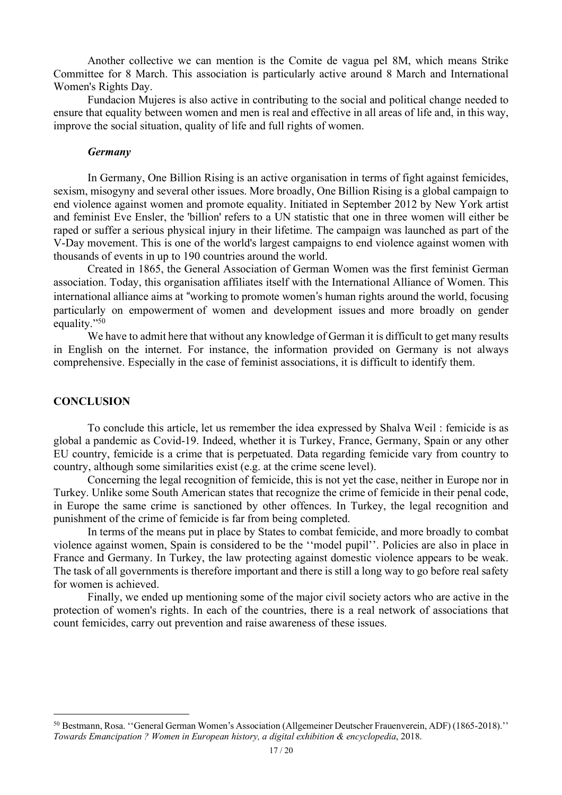Another collective we can mention is the Comite de vagua pel 8M, which means Strike Committee for 8 March. This association is particularly active around 8 March and International Women's Rights Day.

Fundacion Mujeres is also active in contributing to the social and political change needed to ensure that equality between women and men is real and effective in all areas of life and, in this way, improve the social situation, quality of life and full rights of women.

#### *Germany*

In Germany, One Billion Rising is an active organisation in terms of fight against femicides, sexism, misogyny and several other issues. More broadly, One Billion Rising is a global campaign to end violence against women and promote equality. Initiated in September 2012 by New York artist and feminist Eve Ensler, the 'billion' refers to a UN statistic that one in three women will either be raped or suffer a serious physical injury in their lifetime. The campaign was launched as part of the V-Day movement. This is one of the world's largest campaigns to end violence against women with thousands of events in up to 190 countries around the world.

Created in 1865, the General Association of German Women was the first feminist German association. Today, this organisation affiliates itself with the International Alliance of Women. This international alliance aims at "working to promote women's human rights around the world, focusing particularly on empowerment of women and development issues and more broadly on gender equality."50

We have to admit here that without any knowledge of German it is difficult to get many results in English on the internet. For instance, the information provided on Germany is not always comprehensive. Especially in the case of feminist associations, it is difficult to identify them.

# **CONCLUSION**

To conclude this article, let us remember the idea expressed by Shalva Weil : femicide is as global a pandemic as Covid-19. Indeed, whether it is Turkey, France, Germany, Spain or any other EU country, femicide is a crime that is perpetuated. Data regarding femicide vary from country to country, although some similarities exist (e.g. at the crime scene level).

Concerning the legal recognition of femicide, this is not yet the case, neither in Europe nor in Turkey. Unlike some South American states that recognize the crime of femicide in their penal code, in Europe the same crime is sanctioned by other offences. In Turkey, the legal recognition and punishment of the crime of femicide is far from being completed.

In terms of the means put in place by States to combat femicide, and more broadly to combat violence against women, Spain is considered to be the ''model pupil''. Policies are also in place in France and Germany. In Turkey, the law protecting against domestic violence appears to be weak. The task of all governments is therefore important and there is still a long way to go before real safety for women is achieved.

Finally, we ended up mentioning some of the major civil society actors who are active in the protection of women's rights. In each of the countries, there is a real network of associations that count femicides, carry out prevention and raise awareness of these issues.

<sup>50</sup> Bestmann, Rosa. ''General German Women's Association (Allgemeiner Deutscher Frauenverein, ADF) (1865-2018).'' *Towards Emancipation ? Women in European history, a digital exhibition & encyclopedia*, 2018.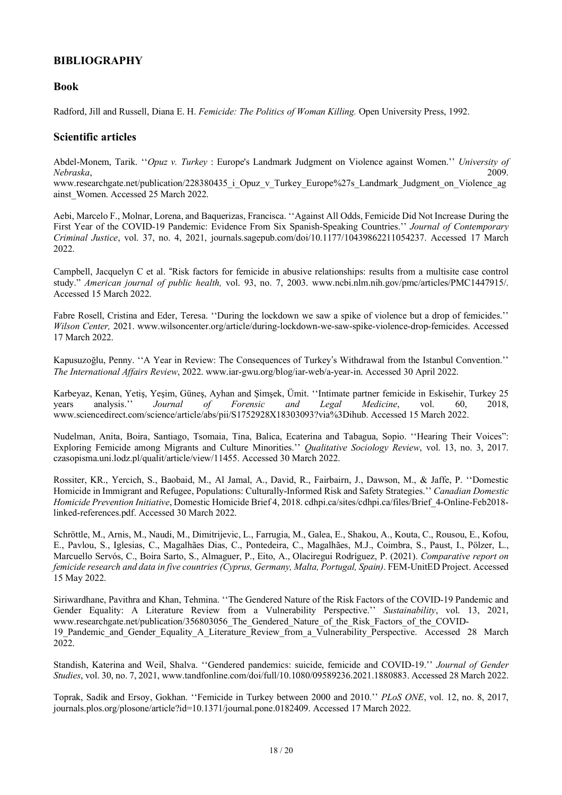# **BIBLIOGRAPHY**

## **Book**

Radford, Jill and Russell, Diana E. H. *Femicide: The Politics of Woman Killing.* Open University Press, 1992.

## **Scientific articles**

Abdel-Monem, Tarik. ''*Opuz v. Turkey* : Europe's Landmark Judgment on Violence against Women.'' *University of Nebraska*, 2009.

www.researchgate.net/publication/228380435 i Opuz v Turkey Europe%27s Landmark Judgment on Violence ag ainst\_Women. Accessed 25 March 2022.

Aebi, Marcelo F., Molnar, Lorena, and Baquerizas, Francisca. ''Against All Odds, Femicide Did Not Increase During the First Year of the COVID-19 Pandemic: Evidence From Six Spanish-Speaking Countries.'' *Journal of Contemporary Criminal Justice*, vol. 37, no. 4, 2021, journals.sagepub.com/doi/10.1177/10439862211054237. Accessed 17 March 2022.

Campbell, Jacquelyn C et al. "Risk factors for femicide in abusive relationships: results from a multisite case control study." *American journal of public health,* vol. 93, no. 7, 2003. www.ncbi.nlm.nih.gov/pmc/articles/PMC1447915/. Accessed 15 March 2022.

Fabre Rosell, Cristina and Eder, Teresa. ''During the lockdown we saw a spike of violence but a drop of femicides.'' *Wilson Center,* 2021. www.wilsoncenter.org/article/during-lockdown-we-saw-spike-violence-drop-femicides. Accessed 17 March 2022.

Kapusuzoğlu, Penny. ''A Year in Review: The Consequences of Turkey"s Withdrawal from the Istanbul Convention.'' *The International Affairs Review*, 2022. www.iar-gwu.org/blog/iar-web/a-year-in. Accessed 30 April 2022.

Karbeyaz, Kenan, Yetiş, Yeşim, Güneş, Ayhan and Şı̇mşek, Ümit. ''Intimate partner femicide in Eskisehir, Turkey 25 years analysis.'' *Journal of Forensic and Legal Medicine*, vol. 60, 2018, www.sciencedirect.com/science/article/abs/pii/S1752928X18303093?via%3Dihub. Accessed 15 March 2022.

Nudelman, Anita, Boira, Santiago, Tsomaia, Tina, Balica, Ecaterina and Tabagua, Sopio. ''Hearing Their Voices": Exploring Femicide among Migrants and Culture Minorities.'' *Qualitative Sociology Review*, vol. 13, no. 3, 2017. czasopisma.uni.lodz.pl/qualit/article/view/11455. Accessed 30 March 2022.

Rossiter, KR., Yercich, S., Baobaid, M., Al Jamal, A., David, R., Fairbairn, J., Dawson, M., & Jaffe, P. ''Domestic Homicide in Immigrant and Refugee, Populations: Culturally-Informed Risk and Safety Strategies.'' *Canadian Domestic Homicide Prevention Initiative*, Domestic Homicide Brief 4, 2018. cdhpi.ca/sites/cdhpi.ca/files/Brief\_4-Online-Feb2018 linked-references.pdf. Accessed 30 March 2022.

Schröttle, M., Arnis, M., Naudi, M., Dimitrijevic, L., Farrugia, M., Galea, E., Shakou, A., Kouta, C., Rousou, E., Kofou, E., Pavlou, S., Iglesias, C., Magalhães Dias, C., Pontedeira, C., Magalhães, M.J., Coimbra, S., Paust, I., Pölzer, L., Marcuello Servós, C., Boira Sarto, S., Almaguer, P., Eito, A., Olaciregui Rodríguez, P. (2021). *Comparative report on femicide research and data in five countries (Cyprus, Germany, Malta, Portugal, Spain)*. FEM-UnitED Project. Accessed 15 May 2022.

Siriwardhane, Pavithra and Khan, Tehmina. ''The Gendered Nature of the Risk Factors of the COVID-19 Pandemic and Gender Equality: A Literature Review from a Vulnerability Perspective.'' *Sustainability*, vol. 13, 2021, www.researchgate.net/publication/356803056\_The\_Gendered\_Nature\_of\_the\_Risk\_Factors\_of\_the\_COVID-19 Pandemic and Gender Equality A Literature Review from a Vulnerability Perspective. Accessed 28 March 2022.

Standish, Katerina and Weil, Shalva. ''Gendered pandemics: suicide, femicide and COVID-19.'' *Journal of Gender Studies*, vol. 30, no. 7, 2021, www.tandfonline.com/doi/full/10.1080/09589236.2021.1880883. Accessed 28 March 2022.

Toprak, Sadik and Ersoy, Gokhan. ''Femicide in Turkey between 2000 and 2010.'' *PLoS ONE*, vol. 12, no. 8, 2017, journals.plos.org/plosone/article?id=10.1371/journal.pone.0182409. Accessed 17 March 2022.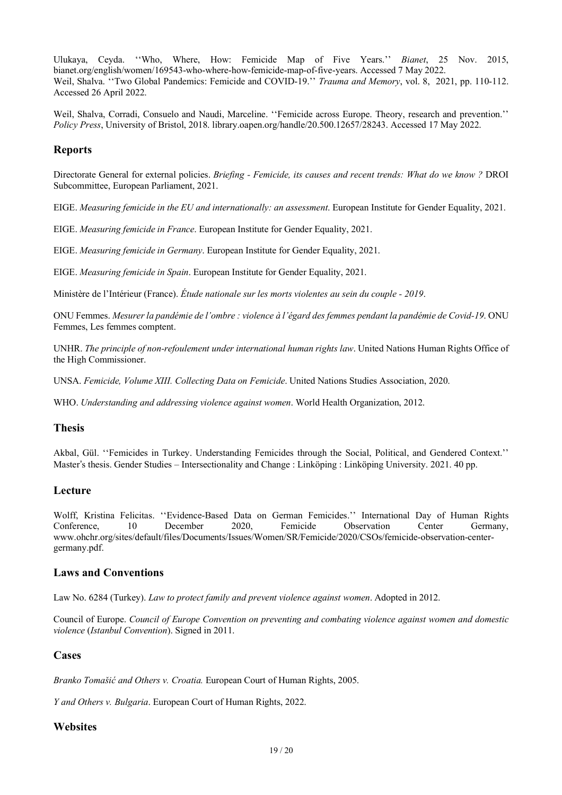Ulukaya, Ceyda. ''Who, Where, How: Femicide Map of Five Years.'' *Bianet*, 25 Nov. 2015, bianet.org/english/women/169543-who-where-how-femicide-map-of-five-years. Accessed 7 May 2022. Weil, Shalva. ''Two Global Pandemics: Femicide and COVID-19.'' *Trauma and Memory*, vol. 8, 2021, pp. 110-112. Accessed 26 April 2022.

Weil, Shalva, Corradi, Consuelo and Naudi, Marceline. ''Femicide across Europe. Theory, research and prevention.'' *Policy Press*, University of Bristol, 2018. library.oapen.org/handle/20.500.12657/28243. Accessed 17 May 2022.

## **Reports**

Directorate General for external policies. *Briefing - Femicide, its causes and recent trends: What do we know ?* DROI Subcommittee, European Parliament, 2021.

EIGE. *Measuring femicide in the EU and internationally: an assessment*. European Institute for Gender Equality, 2021.

EIGE. *Measuring femicide in France*. European Institute for Gender Equality, 2021.

EIGE. *Measuring femicide in Germany*. European Institute for Gender Equality, 2021.

EIGE. *Measuring femicide in Spain*. European Institute for Gender Equality, 2021.

Ministère de l'Intérieur (France). *Étude nationale sur les morts violentes au sein du couple - 2019*.

ONU Femmes. *Mesurer la pandémie de l'ombre : violence à l'égard des femmes pendant la pandémie de Covid-19*. ONU Femmes, Les femmes comptent.

UNHR. *The principle of non-refoulement under international human rights law*. United Nations Human Rights Office of the High Commissioner.

UNSA. *Femicide, Volume XIII. Collecting Data on Femicide*. United Nations Studies Association, 2020.

WHO. *Understanding and addressing violence against women*. World Health Organization, 2012.

# **Thesis**

Akbal, Gül. ''Femicides in Turkey. Understanding Femicides through the Social, Political, and Gendered Context.'' Master"s thesis. Gender Studies – Intersectionality and Change : Linköping : Linköping University. 2021. 40 pp.

## **Lecture**

Wolff, Kristina Felicitas. ''Evidence-Based Data on German Femicides.'' International Day of Human Rights Conference, 10 December 2020, Femicide Observation Center Germany, www.ohchr.org/sites/default/files/Documents/Issues/Women/SR/Femicide/2020/CSOs/femicide-observation-centergermany.pdf.

# **Laws and Conventions**

Law No. 6284 (Turkey). *Law to protect family and prevent violence against women*. Adopted in 2012.

Council of Europe. *Council of Europe Convention on preventing and combating violence against women and domestic violence* (*Istanbul Convention*). Signed in 2011.

# **Cases**

*Branko Tomašić and Others v. Croatia.* European Court of Human Rights, 2005.

*Y and Others v. Bulgaria*. European Court of Human Rights, 2022.

# **Websites**